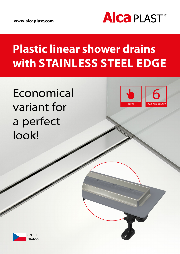

# **Plastic linear shower drains with STAINLESS STEEL EDGE**

**Economical** variant for a perfect look!